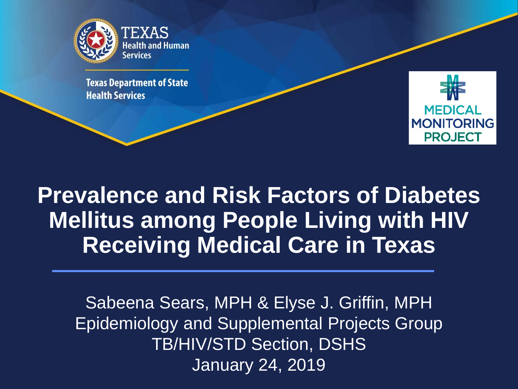

**Texas Department of State Health Services** 



**Prevalence and Risk Factors of Diabetes Mellitus among People Living with HIV Receiving Medical Care in Texas**

Sabeena Sears, MPH & Elyse J. Griffin, MPH Epidemiology and Supplemental Projects Group TB/HIV/STD Section, DSHS January 24, 2019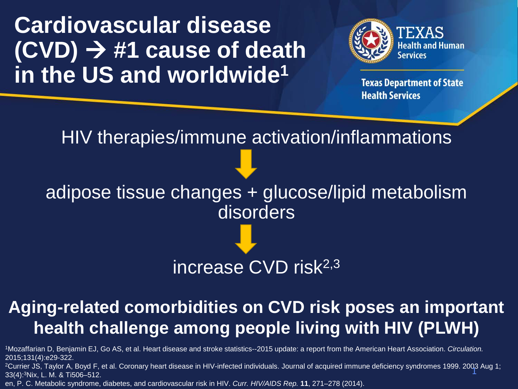**Cardiovascular disease (CVD) #1 cause of death in the US and worldwide1**



**Texas Department of State Health Services** 

HIV therapies/immune activation/inflammations

adipose tissue changes + glucose/lipid metabolism disorders

### increase CVD risk<sup>2,3</sup>

### **Aging-related comorbidities on CVD risk poses an important health challenge among people living with HIV (PLWH)**

1Mozaffarian D, Benjamin EJ, Go AS, et al. Heart disease and stroke statistics--2015 update: a report from the American Heart Association. *Circulation.*  2015;131(4):e29-322.

<sup>2</sup>Currier JS, Taylor A, Boyd F, et al. Coronary heart disease in HIV-infected individuals. Journal of acquired immune deficiency syndromes 1999. 2003 Aug 1;<br>33(4)·3Nix エーM & Ti506–512 33(4):3Nix, L. M. & Ti506–512.

en, P. C. Metabolic syndrome, diabetes, and cardiovascular risk in HIV. *Curr. HIV/AIDS Rep.* **11**, 271–278 (2014).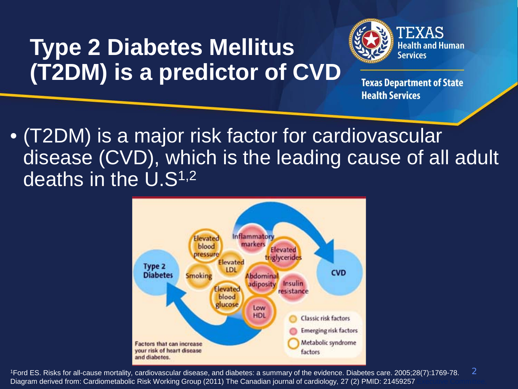# **Type 2 Diabetes Mellitus (T2DM) is a predictor of CVD**



**Texas Department of State Health Services** 

• (T2DM) is a major risk factor for cardiovascular disease (CVD), which is the leading cause of all adult deaths in the U.S1,2



1Ford ES. Risks for all-cause mortality, cardiovascular disease, and diabetes: a summary of the evidence. Diabetes care. 2005;28(7):1769-78. Diagram derived from: Cardiometabolic Risk Working Group (2011) The Canadian journal of cardiology, 27 (2) PMID: 21459257 2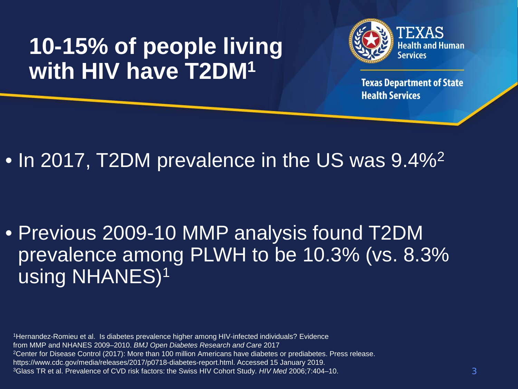# **10-15% of people living with HIV have T2DM1**



**Texas Department of State Health Services** 

### • In 2017, T2DM prevalence in the US was 9.4%<sup>2</sup>

### • Previous 2009-10 MMP analysis found T2DM prevalence among PLWH to be 10.3% (vs. 8.3% using NHANES)1

1Hernandez-Romieu et al. Is diabetes prevalence higher among HIV-infected individuals? Evidence from MMP and NHANES 2009–2010. *BMJ Open Diabetes Research and Care* 2017 <sup>2</sup>Center for Disease Control (2017): More than 100 million Americans have diabetes or prediabetes. Press release. https://www.cdc.gov/media/releases/2017/p0718-diabetes-report.html. Accessed 15 January 2019. 3Glass TR et al. Prevalence of CVD risk factors: the Swiss HIV Cohort Study. *HIV Med* 2006;7:404–10. 3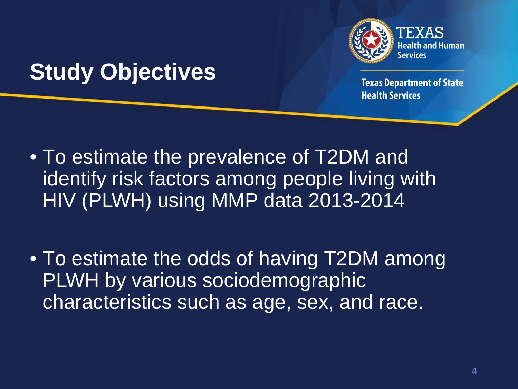

### **Study Objectives**

- To estimate the prevalence of T2DM and identify risk factors among people living with HIV (PLWH) using MMP data 2013-2014
- To estimate the odds of having T2DM among PLWH by various sociodemographic characteristics such as age, sex, and race.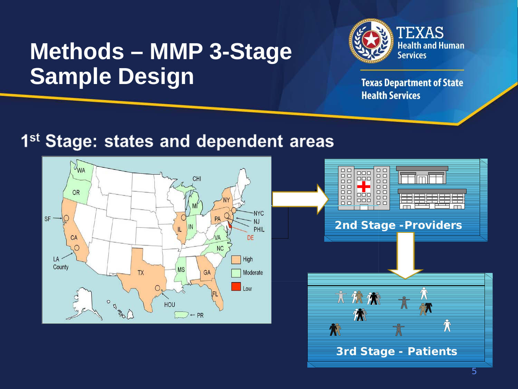### **Methods – MMP 3-Stage Sample Design**



**Texas Department of State Health Services** 

### 1<sup>st</sup> Stage: states and dependent areas

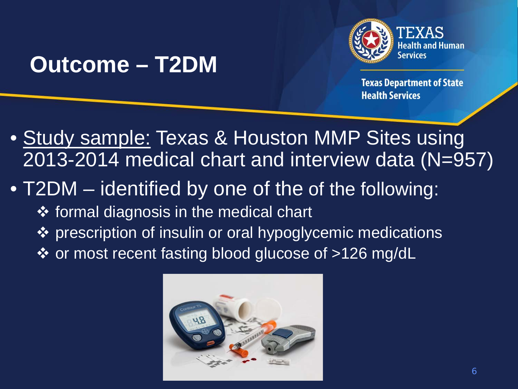

### **Outcome – T2DM**

**Texas Department of State Health Services** 

• Study sample: Texas & Houston MMP Sites using 2013-2014 medical chart and interview data (N=957)

### • T2DM – identified by one of the of the following:

- ❖ formal diagnosis in the medical chart
- ❖ prescription of insulin or oral hypoglycemic medications
- ❖ or most recent fasting blood glucose of >126 mg/dL

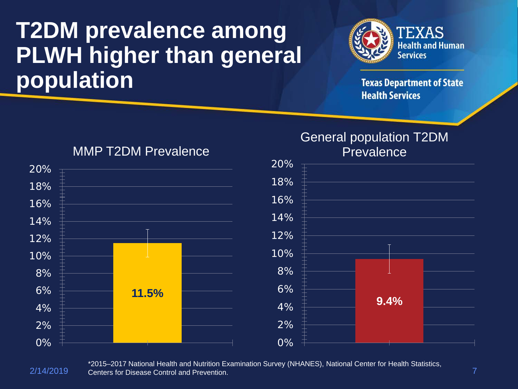# **T2DM prevalence among PLWH higher than general population**



**Texas Department of State Health Services** 



#### MMP T2DM Prevalence

#### General population T2DM **Prevalence**



2/14/2019 7 Centers for Disease Control and Prevention.\*2015–2017 National Health and Nutrition Examination Survey (NHANES), National Center for Health Statistics,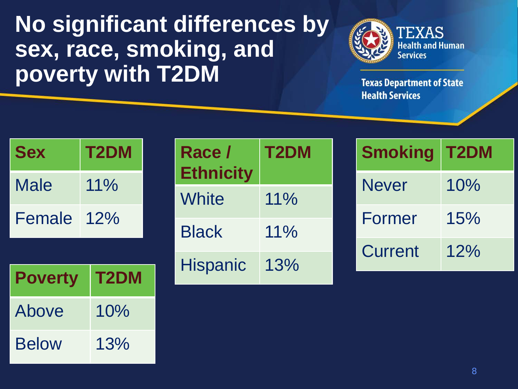### **No significant differences by sex, race, smoking, and poverty with T2DM**



| <b>Sex</b> | <b>T2DM</b> |
|------------|-------------|
| Male       | $11\%$      |
| Female     | 12%         |

| <b>Poverty</b> | T2DM |  |  |  |
|----------------|------|--|--|--|
| Above          | 10%  |  |  |  |
| <b>Below</b>   | 13%  |  |  |  |

| Race /<br><b>Ethnicity</b> | T <sub>2</sub> DM |
|----------------------------|-------------------|
| White                      | $11\%$            |
| <b>Black</b>               | $11\%$            |
| <b>Hispanic</b>            | 13%               |

| <b>Smoking</b> | T2DM |
|----------------|------|
| <b>Never</b>   | 10%  |
| Former         | 15%  |
| Current        | 12%  |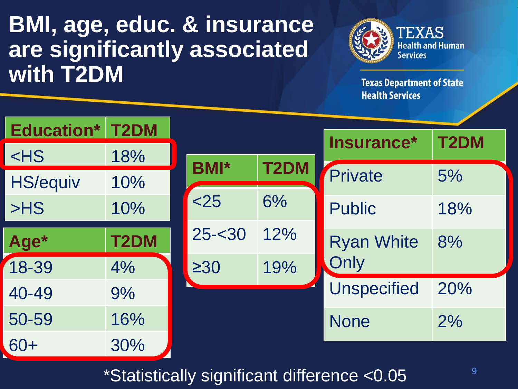# **BMI, age, educ. & insurance are significantly associated with T2DM**



**Texas Department of State Health Services** 

| <b>Education* T2DM</b> |      |             |             |                    |      |  |
|------------------------|------|-------------|-------------|--------------------|------|--|
| $<$ HS                 | 18%  |             |             | Insurance*         | T2DM |  |
| <b>HS/equiv</b>        | 10%  | <b>BMI*</b> | <b>T2DM</b> | Private            | 5%   |  |
| >HS                    | 10%  | < 25        | 6%          | <b>Public</b>      | 18%  |  |
| Age*                   | T2DM | $25 - 30$   | 12%         | <b>Ryan White</b>  | 8%   |  |
| 18-39                  | 4%   | $\geq 30$   | 19%         | Only               |      |  |
| 40-49                  | 9%   |             |             | <b>Unspecified</b> | 20%  |  |
| 50-59                  | 16%  |             |             | <b>None</b>        | 2%   |  |
| 60+                    | 30%  |             |             |                    |      |  |

\*Statistically significant difference <0.05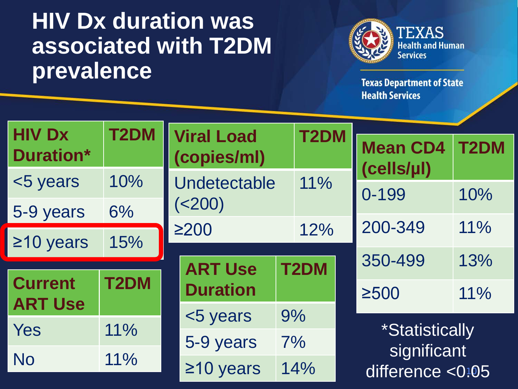# **HIV Dx duration was associated with T2DM prevalence**



| <b>HIV Dx</b>                    |                   | <b>T2DM</b><br><b>Viral Load</b> |    |             |                  |                               |                   |  |
|----------------------------------|-------------------|----------------------------------|----|-------------|------------------|-------------------------------|-------------------|--|
| <b>Duration*</b>                 |                   | (copies/ml)                      |    | <b>T2DM</b> |                  | <b>Mean CD4</b><br>(cells/µl) | T <sub>2</sub> DM |  |
| <5 years                         | 10%               | Undetectable<br>(<200)           |    | 11%         |                  |                               |                   |  |
| 5-9 years                        | 6%                |                                  |    |             |                  | 0-199                         | 10%               |  |
|                                  |                   | $\geq$ 200<br>12%                |    |             |                  | 200-349                       | 11%               |  |
| $\geq$ 10 years                  | 15%               |                                  |    |             |                  |                               |                   |  |
|                                  |                   | <b>ART Use</b>                   |    | <b>T2DM</b> |                  | 350-499                       | 13%               |  |
| <b>Current</b><br><b>ART Use</b> | T <sub>2</sub> DM | <b>Duration</b>                  |    |             |                  | $\geq$ 500                    | 11%               |  |
|                                  |                   | <5 years                         | 9% |             |                  |                               |                   |  |
| Yes                              | 11%               | 5-9 years                        | 7% |             |                  | <i><b>*Statistically</b></i>  |                   |  |
| <b>No</b>                        | 11%               |                                  |    | 14%         |                  | significant                   |                   |  |
|                                  |                   | $\geq$ 10 years                  |    |             | difference <0:05 |                               |                   |  |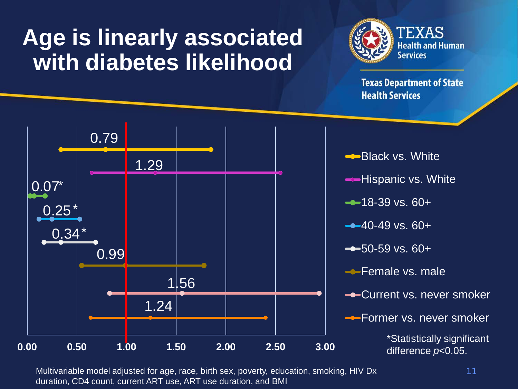# **Age is linearly associated with diabetes likelihood**



**Texas Department of State Health Services** 



Multivariable model adjusted for age, race, birth sex, poverty, education, smoking, HIV Dx 11 duration, CD4 count, current ART use, ART use duration, and BMI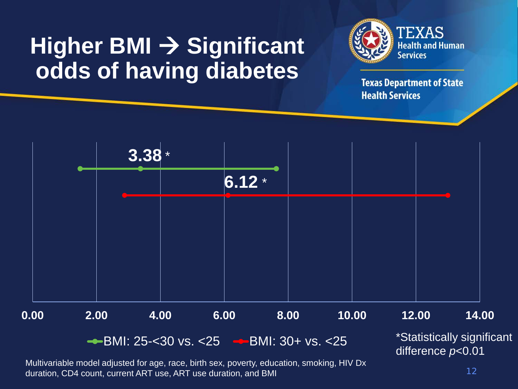# **Higher BMI → Significant odds of having diabetes**



**Texas Department of State Health Services** 



Multivariable model adjusted for age, race, birth sex, poverty, education, smoking, HIV Dx duration, CD4 count, current ART use, ART use duration, and BMI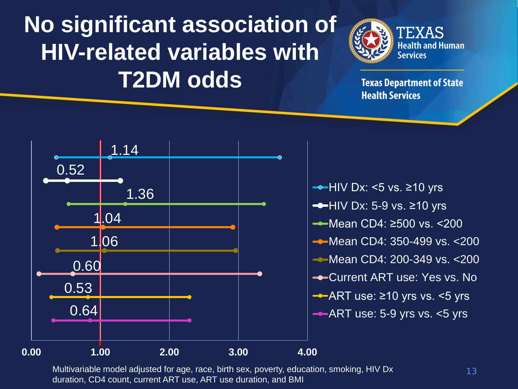# **No significant association of HIV-related variables with T2DM odds**



**Texas Department of State Health Services** 



 $\rightarrow$ HIV Dx: <5 vs.  $\ge$ 10 yrs  $\rightarrow$  HIV Dx: 5-9 vs.  $\geq$ 10 yrs Mean CD4: ≥500 vs. <200 **-**Mean CD4: 350-499 vs. <200 **-**Mean CD4: 200-349 vs. <200 **-**Current ART use: Yes vs. No ART use: ≥10 yrs vs. <5 yrs  $-ART$  use: 5-9 yrs vs.  $<5$  yrs

Multivariable model adjusted for age, race, birth sex, poverty, education, smoking, HIV Dx duration, CD4 count, current ART use, ART use duration, and BMI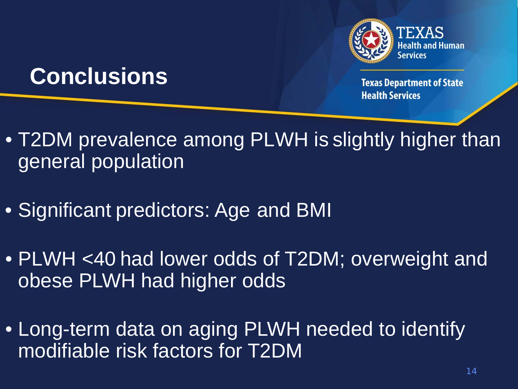

### **Conclusions**

- T2DM prevalence among PLWH is slightly higher than general population
- Significant predictors: Age and BMI
- PLWH <40 had lower odds of T2DM; overweight and obese PLWH had higher odds
- Long-term data on aging PLWH needed to identify modifiable risk factors for T2DM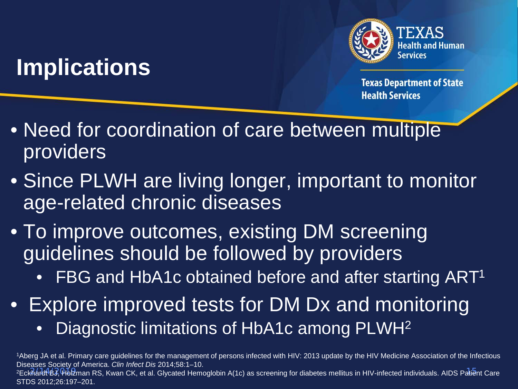# **Implications**



**Texas Department of State Health Services** 

- Need for coordination of care between multiple providers
- Since PLWH are living longer, important to monitor age-related chronic diseases
- To improve outcomes, existing DM screening guidelines should be followed by providers
	- FBG and HbA1c obtained before and after starting ART<sup>1</sup>
- Explore improved tests for DM Dx and monitoring
	- Diagnostic limitations of HbA1c among PLWH<sup>2</sup>

2/14/2019 15 2Eckhardt BJ, Holzman RS, Kwan CK, et al. Glycated Hemoglobin A(1c) as screening for diabetes mellitus in HIV-infected individuals. AIDS Patient Care STDS 2012;26:197–201.

<sup>1</sup>Aberg JA et al. Primary care guidelines for the management of persons infected with HIV: 2013 update by the HIV Medicine Association of the Infectious Diseases Society of America. *Clin Infect Dis* 2014;58:1–10.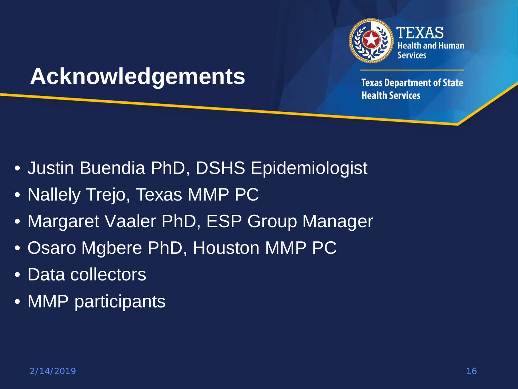

### **Acknowledgements**

- Justin Buendia PhD, DSHS Epidemiologist
- Nallely Trejo, Texas MMP PC
- Margaret Vaaler PhD, ESP Group Manager
- Osaro Mgbere PhD, Houston MMP PC
- Data collectors
- MMP participants